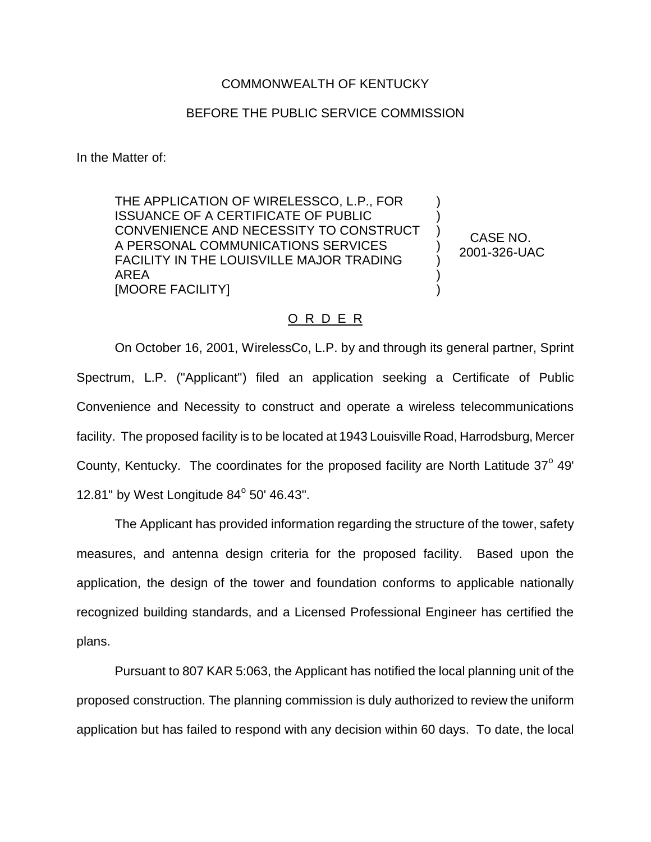## COMMONWEALTH OF KENTUCKY

## BEFORE THE PUBLIC SERVICE COMMISSION

In the Matter of:

THE APPLICATION OF WIRELESSCO, L.P., FOR ISSUANCE OF A CERTIFICATE OF PUBLIC CONVENIENCE AND NECESSITY TO CONSTRUCT A PERSONAL COMMUNICATIONS SERVICES FACILITY IN THE LOUISVILLE MAJOR TRADING AREA [MOORE FACILITY]

CASE NO. 2001-326-UAC

) ) ) ) ) ) )

## O R D E R

On October 16, 2001, WirelessCo, L.P. by and through its general partner, Sprint Spectrum, L.P. ("Applicant") filed an application seeking a Certificate of Public Convenience and Necessity to construct and operate a wireless telecommunications facility. The proposed facility is to be located at 1943 Louisville Road, Harrodsburg, Mercer County, Kentucky. The coordinates for the proposed facility are North Latitude 37° 49' 12.81" by West Longitude  $84^{\circ}$  50' 46.43".

The Applicant has provided information regarding the structure of the tower, safety measures, and antenna design criteria for the proposed facility. Based upon the application, the design of the tower and foundation conforms to applicable nationally recognized building standards, and a Licensed Professional Engineer has certified the plans.

Pursuant to 807 KAR 5:063, the Applicant has notified the local planning unit of the proposed construction. The planning commission is duly authorized to review the uniform application but has failed to respond with any decision within 60 days. To date, the local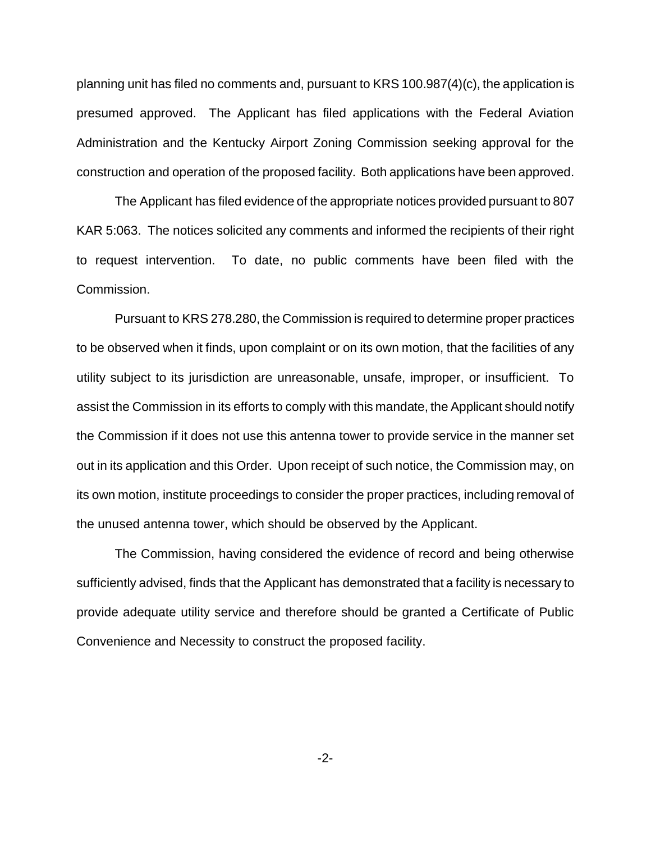planning unit has filed no comments and, pursuant to KRS 100.987(4)(c), the application is presumed approved. The Applicant has filed applications with the Federal Aviation Administration and the Kentucky Airport Zoning Commission seeking approval for the construction and operation of the proposed facility. Both applications have been approved.

The Applicant has filed evidence of the appropriate notices provided pursuant to 807 KAR 5:063. The notices solicited any comments and informed the recipients of their right to request intervention. To date, no public comments have been filed with the Commission.

Pursuant to KRS 278.280, the Commission is required to determine proper practices to be observed when it finds, upon complaint or on its own motion, that the facilities of any utility subject to its jurisdiction are unreasonable, unsafe, improper, or insufficient. To assist the Commission in its efforts to comply with this mandate, the Applicant should notify the Commission if it does not use this antenna tower to provide service in the manner set out in its application and this Order. Upon receipt of such notice, the Commission may, on its own motion, institute proceedings to consider the proper practices, including removal of the unused antenna tower, which should be observed by the Applicant.

The Commission, having considered the evidence of record and being otherwise sufficiently advised, finds that the Applicant has demonstrated that a facility is necessary to provide adequate utility service and therefore should be granted a Certificate of Public Convenience and Necessity to construct the proposed facility.

-2-